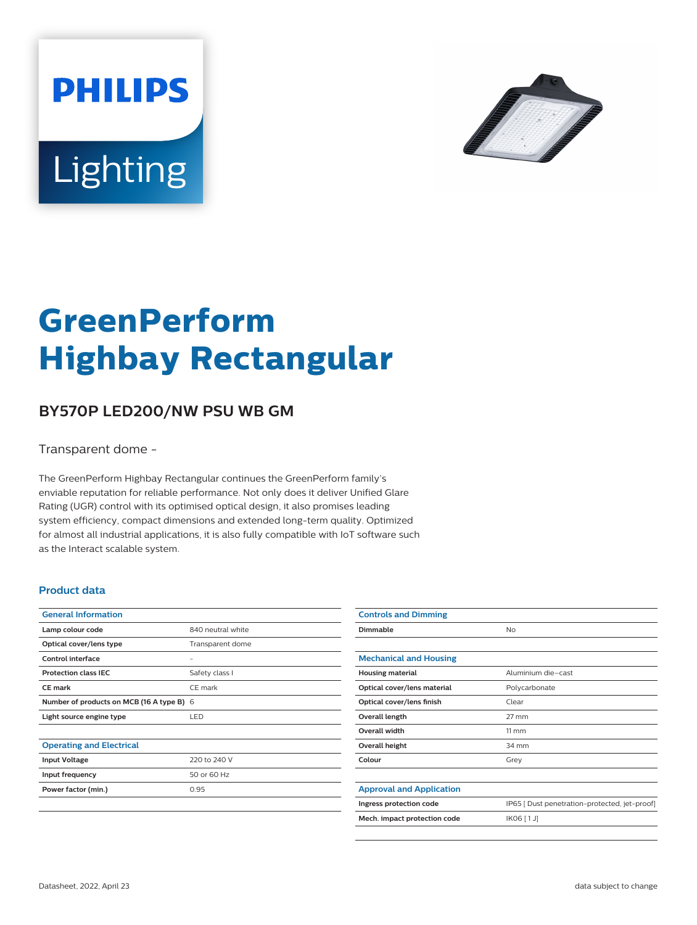



# **GreenPerform Highbay Rectangular**

## **BY570P LED200/NW PSU WB GM**

Transparent dome -

The GreenPerform Highbay Rectangular continues the GreenPerform family's enviable reputation for reliable performance. Not only does it deliver Unified Glare Rating (UGR) control with its optimised optical design, it also promises leading system efficiency, compact dimensions and extended long-term quality. Optimized for almost all industrial applications, it is also fully compatible with IoT software such as the Interact scalable system.

#### **Product data**

| <b>General Information</b>                |                   |
|-------------------------------------------|-------------------|
| Lamp colour code                          | 840 neutral white |
| Optical cover/lens type                   | Transparent dome  |
| Control interface                         |                   |
| <b>Protection class IEC</b>               | Safety class I    |
| CF mark                                   | CF mark           |
| Number of products on MCB (16 A type B) 6 |                   |
| Light source engine type                  | LED               |
|                                           |                   |
| <b>Operating and Electrical</b>           |                   |
| <b>Input Voltage</b>                      | 220 to 240 V      |
| Input frequency                           | 50 or 60 Hz       |
| Power factor (min.)                       | 0.95              |
|                                           |                   |

| <b>Controls and Dimming</b>     |                                               |
|---------------------------------|-----------------------------------------------|
| Dimmable                        | No                                            |
|                                 |                                               |
| <b>Mechanical and Housing</b>   |                                               |
| <b>Housing material</b>         | Aluminium die-cast                            |
| Optical cover/lens material     | Polycarbonate                                 |
| Optical cover/lens finish       | Clear                                         |
| Overall length                  | $27 \text{ mm}$                               |
| <b>Overall width</b>            | $11 \, \mathrm{mm}$                           |
| Overall height                  | 34 mm                                         |
| Colour                          | Grey                                          |
|                                 |                                               |
| <b>Approval and Application</b> |                                               |
| Ingress protection code         | IP65 [ Dust penetration-protected, jet-proof] |
| Mech. impact protection code    | IK06 [1J]                                     |
|                                 |                                               |